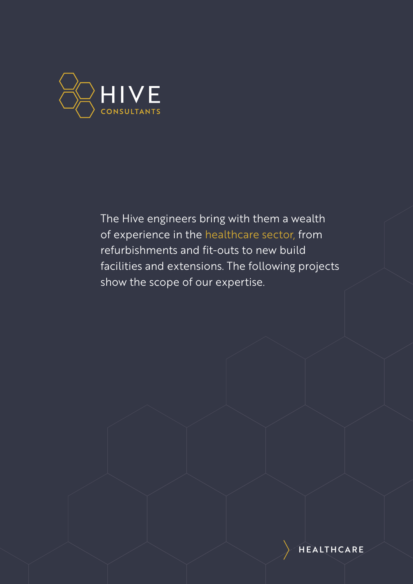

The Hive engineers bring with them a wealth of experience in the healthcare sector, from refurbishments and fit-outs to new build facilities and extensions. The following projects show the scope of our expertise.

**HEALTHCARE**